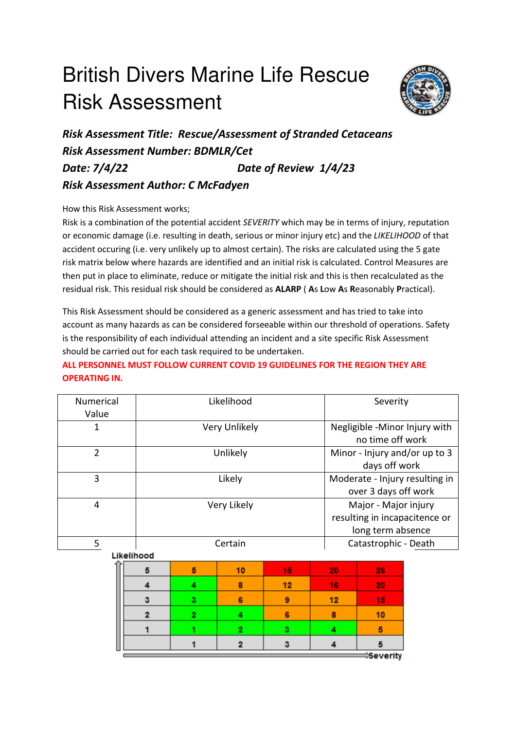## British Divers Marine Life Rescue Risk Assessment



*Risk Assessment Title: Rescue/Assessment of Stranded Cetaceans Risk Assessment Number: BDMLR/Cet Date: 7/4/22 Date of Review 1/4/23 Risk Assessment Author: C McFadyen* 

How this Risk Assessment works;

Risk is a combination of the potential accident *SEVERITY* which may be in terms of injury, reputation or economic damage (i.e. resulting in death, serious or minor injury etc) and the *LIKELIHOOD* of that accident occuring (i.e. very unlikely up to almost certain). The risks are calculated using the 5 gate risk matrix below where hazards are identified and an initial risk is calculated. Control Measures are then put in place to eliminate, reduce or mitigate the initial risk and this is then recalculated as the residual risk. This residual risk should be considered as **ALARP** ( **A**s **L**ow **A**s **R**easonably **P**ractical).

This Risk Assessment should be considered as a generic assessment and has tried to take into account as many hazards as can be considered forseeable within our threshold of operations. Safety is the responsibility of each individual attending an incident and a site specific Risk Assessment should be carried out for each task required to be undertaken.

## **ALL PERSONNEL MUST FOLLOW CURRENT COVID 19 GUIDELINES FOR THE REGION THEY ARE OPERATING IN.**

| Numerical      |                |             | Likelihood     |    |                      |                      | Severity             |                                |  |  |  |  |
|----------------|----------------|-------------|----------------|----|----------------------|----------------------|----------------------|--------------------------------|--|--|--|--|
| Value          |                |             |                |    |                      |                      |                      |                                |  |  |  |  |
| 1              |                |             | Very Unlikely  |    |                      |                      |                      | Negligible -Minor Injury with  |  |  |  |  |
|                |                |             |                |    |                      |                      | no time off work     |                                |  |  |  |  |
| $\overline{2}$ |                |             | Unlikely       |    |                      |                      |                      | Minor - Injury and/or up to 3  |  |  |  |  |
|                |                |             |                |    |                      |                      | days off work        |                                |  |  |  |  |
| 3              |                |             | Likely         |    |                      |                      |                      | Moderate - Injury resulting in |  |  |  |  |
|                |                |             |                |    | over 3 days off work |                      |                      |                                |  |  |  |  |
| $\overline{4}$ |                | Very Likely |                |    |                      |                      | Major - Major injury |                                |  |  |  |  |
|                |                |             |                |    |                      |                      |                      | resulting in incapacitence or  |  |  |  |  |
|                |                |             |                |    |                      | long term absence    |                      |                                |  |  |  |  |
| 5              |                |             | Certain        |    |                      | Catastrophic - Death |                      |                                |  |  |  |  |
|                | Likelihood     |             |                |    |                      |                      |                      |                                |  |  |  |  |
|                | 5              | 5           | 10             | 15 |                      | 20                   | 26                   |                                |  |  |  |  |
|                | 4              | 4           | 8              | 12 |                      | 16                   | 20                   |                                |  |  |  |  |
|                | 3              | 3           | 6              | 9  |                      | 12                   | 15                   |                                |  |  |  |  |
|                | $\overline{2}$ | 2           | 4              | 6  |                      | 8                    | 10                   |                                |  |  |  |  |
|                |                |             |                |    |                      |                      |                      |                                |  |  |  |  |
|                | 1              |             | $\overline{2}$ | 3  |                      | 4                    | 5                    |                                |  |  |  |  |
|                |                |             | 2              | 3  |                      | Δ                    | 5                    |                                |  |  |  |  |
|                |                |             |                |    |                      |                      | <b>Severity</b>      |                                |  |  |  |  |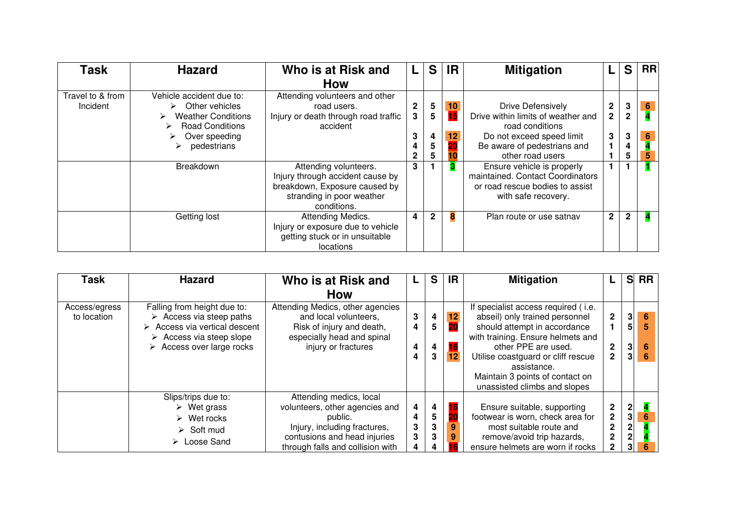| Task             | <b>Hazard</b>                   | Who is at Risk and                   |                  | S            | <b>IR</b> | <b>Mitigation</b>                  |                | S            | <b>RRI</b>          |
|------------------|---------------------------------|--------------------------------------|------------------|--------------|-----------|------------------------------------|----------------|--------------|---------------------|
|                  |                                 | <b>How</b>                           |                  |              |           |                                    |                |              |                     |
| Travel to & from | Vehicle accident due to:        | Attending volunteers and other       |                  |              |           |                                    |                |              |                     |
| Incident         | $\triangleright$ Other vehicles | road users.                          | $\boldsymbol{2}$ | 5            | 10        | Drive Defensively                  | $\mathbf 2$    | 3            | $6 \nightharpoonup$ |
|                  | <b>Weather Conditions</b>       | Injury or death through road traffic | 3                | 5            | 15        | Drive within limits of weather and | $\overline{2}$ | $\mathbf 2$  |                     |
|                  | <b>Road Conditions</b><br>➤     | accident                             |                  |              |           | road conditions                    |                |              |                     |
|                  | Over speeding                   |                                      | 3                | 4            | 12        | Do not exceed speed limit          | 3              | 3            | $6\phantom{a}$      |
|                  | pedestrians                     |                                      | 4                | 5            |           | Be aware of pedestrians and        |                | 4            |                     |
|                  |                                 |                                      |                  | 5            |           | other road users                   |                | 5            | 5                   |
|                  | Breakdown                       | Attending volunteers.                | 3                |              |           | Ensure vehicle is properly         |                |              |                     |
|                  |                                 | Injury through accident cause by     |                  |              |           | maintained. Contact Coordinators   |                |              |                     |
|                  |                                 | breakdown, Exposure caused by        |                  |              |           | or road rescue bodies to assist    |                |              |                     |
|                  |                                 | stranding in poor weather            |                  |              |           | with safe recovery.                |                |              |                     |
|                  |                                 | conditions.                          |                  |              |           |                                    |                |              |                     |
|                  | Getting lost                    | Attending Medics.                    | 4                | $\mathbf{2}$ | 8         | Plan route or use satnav           | $\mathbf{2}$   | $\mathbf{2}$ |                     |
|                  |                                 | Injury or exposure due to vehicle    |                  |              |           |                                    |                |              |                     |
|                  |                                 | getting stuck or in unsuitable       |                  |              |           |                                    |                |              |                     |
|                  |                                 | locations                            |                  |              |           |                                    |                |              |                     |

| <b>Task</b>                  | <b>Hazard</b>                                                                                                                                                                                                 | Who is at Risk and                                                                                                                                                       |                       | S                | IR.                  | <b>Mitigation</b>                                                                                                                                                                                                                                                                         |                                                                              |                                                                    | S RR             |
|------------------------------|---------------------------------------------------------------------------------------------------------------------------------------------------------------------------------------------------------------|--------------------------------------------------------------------------------------------------------------------------------------------------------------------------|-----------------------|------------------|----------------------|-------------------------------------------------------------------------------------------------------------------------------------------------------------------------------------------------------------------------------------------------------------------------------------------|------------------------------------------------------------------------------|--------------------------------------------------------------------|------------------|
|                              |                                                                                                                                                                                                               | <b>How</b>                                                                                                                                                               |                       |                  |                      |                                                                                                                                                                                                                                                                                           |                                                                              |                                                                    |                  |
| Access/egress<br>to location | Falling from height due to:<br>$\triangleright$ Access via steep paths<br>$\triangleright$ Access via vertical descent<br>$\triangleright$ Access via steep slope<br>$\triangleright$ Access over large rocks | Attending Medics, other agencies<br>and local volunteers,<br>Risk of injury and death,<br>especially head and spinal<br>injury or fractures                              | 3<br>4<br>4<br>4      | 4<br>5<br>4<br>3 | 12<br>20<br>16<br>12 | If specialist access required (i.e.<br>abseil) only trained personnel<br>should attempt in accordance<br>with training. Ensure helmets and<br>other PPE are used.<br>Utilise coastguard or cliff rescue<br>assistance.<br>Maintain 3 points of contact on<br>unassisted climbs and slopes | $\overline{2}$<br>$\mathbf{2}$<br>$\mathbf{2}$                               | $\mathbf{3}$<br>5 <sup>1</sup><br>3 <sup>1</sup><br>3 <sup>1</sup> | 6<br>5<br>6<br>6 |
|                              | Slips/trips due to:<br>$\triangleright$ Wet grass<br>$\triangleright$ Wet rocks<br>$\triangleright$ Soft mud<br>$\triangleright$ Loose Sand                                                                   | Attending medics, local<br>volunteers, other agencies and<br>public.<br>Injury, including fractures,<br>contusions and head injuries<br>through falls and collision with | 4<br>4<br>3<br>3<br>4 | 4<br>5<br>3<br>3 | 16<br>20<br>9        | Ensure suitable, supporting<br>footwear is worn, check area for<br>most suitable route and<br>remove/avoid trip hazards,<br>ensure helmets are worn if rocks                                                                                                                              | $\mathbf{2}$<br>$\mathbf{2}$<br>$\mathbf{2}$<br>$\mathbf{2}$<br>$\mathbf{2}$ | $\frac{2}{3}$<br>$\mathbf{2}$<br>$\mathbf{2}$<br>3 <sup>1</sup>    | 6<br>6           |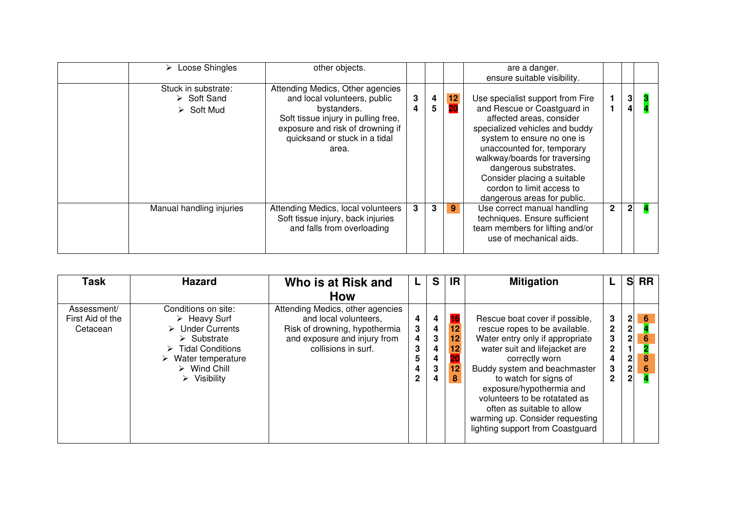| Loose Shingles<br>➤                                                            | other objects.                                                                                                                                                                                       |        |        |          | are a danger.<br>ensure suitable visibility.                                                                                                                                                                                                                                                                                                   |              |              |  |
|--------------------------------------------------------------------------------|------------------------------------------------------------------------------------------------------------------------------------------------------------------------------------------------------|--------|--------|----------|------------------------------------------------------------------------------------------------------------------------------------------------------------------------------------------------------------------------------------------------------------------------------------------------------------------------------------------------|--------------|--------------|--|
| Stuck in substrate:<br>$\triangleright$ Soft Sand<br>$\triangleright$ Soft Mud | Attending Medics, Other agencies<br>and local volunteers, public<br>bystanders.<br>Soft tissue injury in pulling free,<br>exposure and risk of drowning if<br>quicksand or stuck in a tidal<br>area. | 3<br>4 | 4<br>5 | 12<br>20 | Use specialist support from Fire<br>and Rescue or Coastguard in<br>affected areas, consider<br>specialized vehicles and buddy<br>system to ensure no one is<br>unaccounted for, temporary<br>walkway/boards for traversing<br>dangerous substrates.<br>Consider placing a suitable<br>cordon to limit access to<br>dangerous areas for public. |              | 3<br>4       |  |
| Manual handling injuries                                                       | Attending Medics, local volunteers<br>Soft tissue injury, back injuries<br>and falls from overloading                                                                                                | 3      | 3      | 9        | Use correct manual handling<br>techniques. Ensure sufficient<br>team members for lifting and/or<br>use of mechanical aids.                                                                                                                                                                                                                     | $\mathbf{2}$ | $\mathbf{2}$ |  |

| Task                                        | <b>Hazard</b>                                                                                                                                                                                                                     | Who is at Risk and                                                                                                                                |                                            | S                               | IR                                                              | <b>Mitigation</b>                                                                                                                                                                                                                                                                                                                                                                |                                                                                         | S                                                | <b>RR</b>                     |  |
|---------------------------------------------|-----------------------------------------------------------------------------------------------------------------------------------------------------------------------------------------------------------------------------------|---------------------------------------------------------------------------------------------------------------------------------------------------|--------------------------------------------|---------------------------------|-----------------------------------------------------------------|----------------------------------------------------------------------------------------------------------------------------------------------------------------------------------------------------------------------------------------------------------------------------------------------------------------------------------------------------------------------------------|-----------------------------------------------------------------------------------------|--------------------------------------------------|-------------------------------|--|
|                                             |                                                                                                                                                                                                                                   | <b>How</b>                                                                                                                                        |                                            |                                 |                                                                 |                                                                                                                                                                                                                                                                                                                                                                                  |                                                                                         |                                                  |                               |  |
| Assessment/<br>First Aid of the<br>Cetacean | Conditions on site:<br>$\triangleright$ Heavy Surf<br>$\triangleright$ Under Currents<br>$\triangleright$ Substrate<br><b>Tidal Conditions</b><br>Water temperature<br>$\triangleright$ Wind Chill<br>$\triangleright$ Visibility | Attending Medics, other agencies<br>and local volunteers,<br>Risk of drowning, hypothermia<br>and exposure and injury from<br>collisions in surf. | 4<br>3<br>4<br>3<br>5<br>4<br>$\mathbf{2}$ | 4<br>4<br>3<br>4<br>4<br>3<br>4 | 16<br>$\overline{12}$<br>12 <sub>1</sub><br>12<br>20<br>12<br>8 | Rescue boat cover if possible,<br>rescue ropes to be available.<br>Water entry only if appropriate<br>water suit and lifejacket are<br>correctly worn<br>Buddy system and beachmaster<br>to watch for signs of<br>exposure/hypothermia and<br>volunteers to be rotatated as<br>often as suitable to allow<br>warming up. Consider requesting<br>lighting support from Coastguard | $\mathbf{3}$<br>$\mathbf{2}$<br>3 <sup>1</sup><br>$\mathbf{2}$<br>4<br>3<br>$\mathbf 2$ | 2<br>2<br>2<br>1<br>$\frac{2}{2}$<br>$\mathbf 2$ | 6<br>$6\phantom{1}$<br>8<br>6 |  |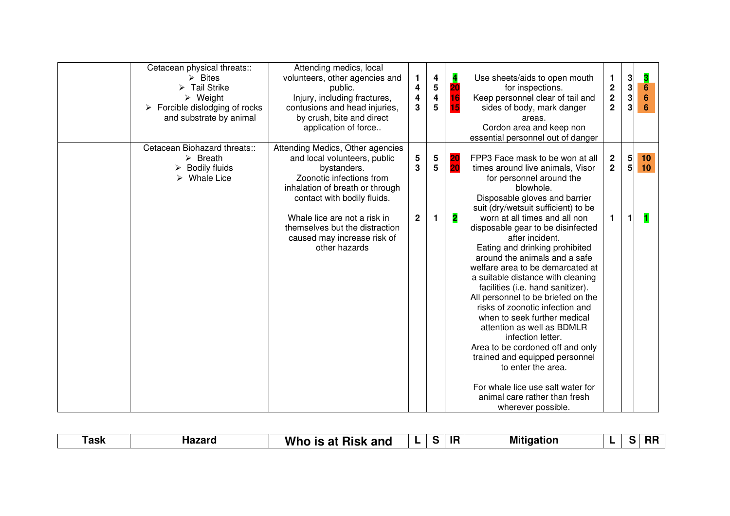| Cetacean physical threats::<br>$\triangleright$ Bites<br>$\triangleright$ Tail Strike<br>$\triangleright$ Weight<br>$\triangleright$ Forcible dislodging of rocks<br>and substrate by animal | Attending medics, local<br>volunteers, other agencies and<br>public.<br>Injury, including fractures,<br>contusions and head injuries,<br>by crush, bite and direct<br>application of force                                                                                                      | 1.<br>4<br>4<br>3     | 4<br>5<br>4<br>5   | $\overline{\mathbf{A}}$<br>20<br>16<br>15 <sub>1</sub> | Use sheets/aids to open mouth<br>for inspections.<br>Keep personnel clear of tail and<br>sides of body, mark danger<br>areas.<br>Cordon area and keep non<br>essential personnel out of danger                                                                                                                                                                                                                                                                                                                                                                                                                                                                                                                                                                                                                     | 1.<br>$\mathbf 2$<br>$\mathbf 2$<br>$\overline{2}$ | 3<br>3<br>3<br>3<br>3                       | <u>3</u><br>6<br>$6\phantom{1}$<br>$6\phantom{a}$ |
|----------------------------------------------------------------------------------------------------------------------------------------------------------------------------------------------|-------------------------------------------------------------------------------------------------------------------------------------------------------------------------------------------------------------------------------------------------------------------------------------------------|-----------------------|--------------------|--------------------------------------------------------|--------------------------------------------------------------------------------------------------------------------------------------------------------------------------------------------------------------------------------------------------------------------------------------------------------------------------------------------------------------------------------------------------------------------------------------------------------------------------------------------------------------------------------------------------------------------------------------------------------------------------------------------------------------------------------------------------------------------------------------------------------------------------------------------------------------------|----------------------------------------------------|---------------------------------------------|---------------------------------------------------|
| Cetacean Biohazard threats::<br>$\triangleright$ Breath<br><b>Bodily fluids</b><br>➤<br>$\triangleright$ Whale Lice                                                                          | Attending Medics, Other agencies<br>and local volunteers, public<br>bystanders.<br>Zoonotic infections from<br>inhalation of breath or through<br>contact with bodily fluids.<br>Whale lice are not a risk in<br>themselves but the distraction<br>caused may increase risk of<br>other hazards | 5<br>3<br>$\mathbf 2$ | $\frac{5}{5}$<br>1 | 20<br>20<br>$\overline{\mathbf{2}}$                    | FPP3 Face mask to be won at all<br>times around live animals, Visor<br>for personnel around the<br>blowhole.<br>Disposable gloves and barrier<br>suit (dry/wetsuit sufficient) to be<br>worn at all times and all non<br>disposable gear to be disinfected<br>after incident.<br>Eating and drinking prohibited<br>around the animals and a safe<br>welfare area to be demarcated at<br>a suitable distance with cleaning<br>facilities (i.e. hand sanitizer).<br>All personnel to be briefed on the<br>risks of zoonotic infection and<br>when to seek further medical<br>attention as well as BDMLR<br>infection letter.<br>Area to be cordoned off and only<br>trained and equipped personnel<br>to enter the area.<br>For whale lice use salt water for<br>animal care rather than fresh<br>wherever possible. | $\mathbf{2}$<br>$\overline{2}$<br>1.               | $\begin{bmatrix} 5 \\ 5 \end{bmatrix}$<br>1 | 10<br>10 <sup>°</sup>                             |

| ⊺ask | <b>Hazard</b> | Whc<br><b>Risk and</b><br>- 1<br>ıе<br>. . | . . |  | ---<br>. . | Mi<br>tidation |  |  | пı |
|------|---------------|--------------------------------------------|-----|--|------------|----------------|--|--|----|
|------|---------------|--------------------------------------------|-----|--|------------|----------------|--|--|----|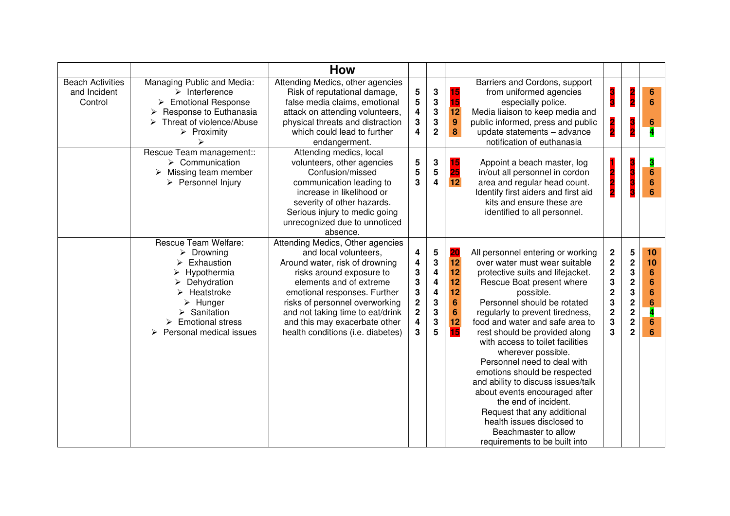|                                                    |                                                                                                                                                                                                                                                        | How                                                                                                                                                                                                                                                                                                                            |                                                                                                                                                   |                                                                                                               |                                                                            |                                                                                                                                                                                                                                                                                                                                                                                                                                                                                                                                                                                                                                      |                                                                                                       |                                                                                                               |                                                                                                                  |
|----------------------------------------------------|--------------------------------------------------------------------------------------------------------------------------------------------------------------------------------------------------------------------------------------------------------|--------------------------------------------------------------------------------------------------------------------------------------------------------------------------------------------------------------------------------------------------------------------------------------------------------------------------------|---------------------------------------------------------------------------------------------------------------------------------------------------|---------------------------------------------------------------------------------------------------------------|----------------------------------------------------------------------------|--------------------------------------------------------------------------------------------------------------------------------------------------------------------------------------------------------------------------------------------------------------------------------------------------------------------------------------------------------------------------------------------------------------------------------------------------------------------------------------------------------------------------------------------------------------------------------------------------------------------------------------|-------------------------------------------------------------------------------------------------------|---------------------------------------------------------------------------------------------------------------|------------------------------------------------------------------------------------------------------------------|
| <b>Beach Activities</b><br>and Incident<br>Control | Managing Public and Media:<br>$\triangleright$ Interference<br>$\triangleright$ Emotional Response<br>Response to Euthanasia<br>Threat of violence/Abuse<br>$\blacktriangleright$<br>$\triangleright$ Proximity                                        | Attending Medics, other agencies<br>Risk of reputational damage,<br>false media claims, emotional<br>attack on attending volunteers,<br>physical threats and distraction<br>which could lead to further<br>endangerment.                                                                                                       | 5<br>$\overline{\mathbf{5}}$<br>4<br>$\mathbf 3$<br>$\overline{4}$                                                                                | $\mathbf 3$<br>${\bf 3}$<br>$\mathbf 3$<br>3<br>$\overline{2}$                                                | 15<br>15<br>$\overline{12}$<br>9<br>8                                      | Barriers and Cordons, support<br>from uniformed agencies<br>especially police.<br>Media liaison to keep media and<br>public informed, press and public<br>update statements - advance<br>notification of euthanasia                                                                                                                                                                                                                                                                                                                                                                                                                  | 3<br>3<br>2<br>2                                                                                      |                                                                                                               | $6\phantom{1}6$<br>6<br>6                                                                                        |
|                                                    | Rescue Team management::<br>$\triangleright$ Communication<br>$\triangleright$ Missing team member<br>$\triangleright$ Personnel Injury                                                                                                                | Attending medics, local<br>volunteers, other agencies<br>Confusion/missed<br>communication leading to<br>increase in likelihood or<br>severity of other hazards.<br>Serious injury to medic going<br>unrecognized due to unnoticed<br>absence.                                                                                 | ${\bf 5}$<br>5<br>3                                                                                                                               | $\mathbf 3$<br>$5\phantom{.0}$<br>$\overline{\mathbf{4}}$                                                     | 15<br>25<br>$\overline{12}$                                                | Appoint a beach master, log<br>in/out all personnel in cordon<br>area and regular head count.<br>Identify first aiders and first aid<br>kits and ensure these are<br>identified to all personnel.                                                                                                                                                                                                                                                                                                                                                                                                                                    | 2                                                                                                     |                                                                                                               | 3<br>6<br>6<br>6                                                                                                 |
|                                                    | Rescue Team Welfare:<br>$\triangleright$ Drowning<br>Exhaustion<br>Hypothermia<br>Dehydration<br>$\triangleright$ Heatstroke<br>$\triangleright$ Hunger<br>$\triangleright$ Sanitation<br>$\triangleright$ Emotional stress<br>Personal medical issues | Attending Medics, Other agencies<br>and local volunteers,<br>Around water, risk of drowning<br>risks around exposure to<br>elements and of extreme<br>emotional responses. Further<br>risks of personnel overworking<br>and not taking time to eat/drink<br>and this may exacerbate other<br>health conditions (i.e. diabetes) | 4<br>$\overline{\mathbf{4}}$<br>${\bf 3}$<br>${\bf 3}$<br>3<br>$\overline{\mathbf{c}}$<br>$\overline{\mathbf{c}}$<br>$\overline{\mathbf{4}}$<br>3 | $5\phantom{.0}$<br>$\mathbf 3$<br>$\overline{\mathbf{4}}$<br>4<br>4<br>3<br>3<br>${\bf 3}$<br>$5\phantom{.0}$ | 20<br>$\overline{12}$<br>12<br>12<br>12<br>6<br>$6\phantom{1}$<br>12<br>15 | All personnel entering or working<br>over water must wear suitable<br>protective suits and lifejacket.<br>Rescue Boat present where<br>possible.<br>Personnel should be rotated<br>regularly to prevent tiredness,<br>food and water and safe area to<br>rest should be provided along<br>with access to toilet facilities<br>wherever possible.<br>Personnel need to deal with<br>emotions should be respected<br>and ability to discuss issues/talk<br>about events encouraged after<br>the end of incident.<br>Request that any additional<br>health issues disclosed to<br>Beachmaster to allow<br>requirements to be built into | $\boldsymbol{2}$<br>$\bf 2$<br>$\mathbf 2$<br>3<br>$\overline{\mathbf{c}}$<br>3<br>$\frac{2}{3}$<br>3 | 5<br>$\boldsymbol{2}$<br>3<br>$\mathbf 2$<br>3<br>$\mathbf 2$<br>$\mathbf 2$<br>$\mathbf 2$<br>$\overline{2}$ | 10<br>10<br>$6\phantom{1}6$<br>$6\phantom{1}$<br>6<br>$6\phantom{1}6$<br>4<br>$6\phantom{1}6$<br>$6\phantom{1}6$ |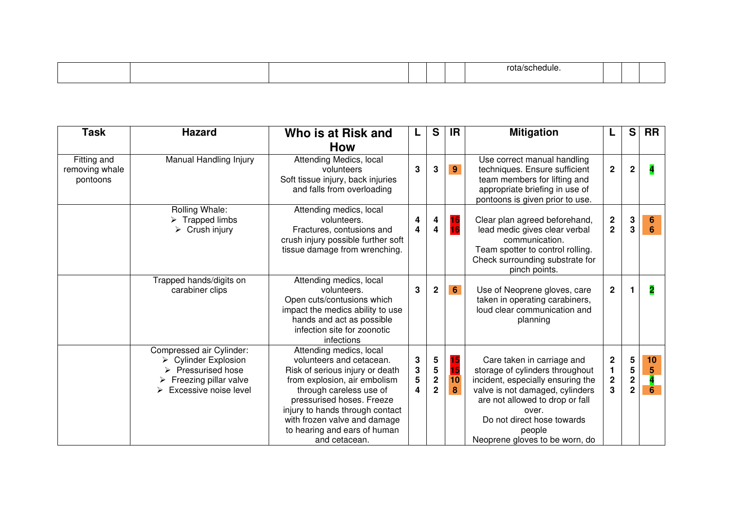|  |  |  | 'Ile |  |  |
|--|--|--|------|--|--|
|  |  |  |      |  |  |

| <b>Task</b>                               | <b>Hazard</b>                                                                                                                                                           | Who is at Risk and                                                                                                                                                                                                                                                                                 |                                                | S                                                          | <b>IR</b>           | <b>Mitigation</b>                                                                                                                                                                                                                                           |                                                  | S                                                 | <b>RR</b>            |
|-------------------------------------------|-------------------------------------------------------------------------------------------------------------------------------------------------------------------------|----------------------------------------------------------------------------------------------------------------------------------------------------------------------------------------------------------------------------------------------------------------------------------------------------|------------------------------------------------|------------------------------------------------------------|---------------------|-------------------------------------------------------------------------------------------------------------------------------------------------------------------------------------------------------------------------------------------------------------|--------------------------------------------------|---------------------------------------------------|----------------------|
|                                           |                                                                                                                                                                         | <b>How</b>                                                                                                                                                                                                                                                                                         |                                                |                                                            |                     |                                                                                                                                                                                                                                                             |                                                  |                                                   |                      |
| Fitting and<br>removing whale<br>pontoons | Manual Handling Injury                                                                                                                                                  | Attending Medics, local<br>volunteers<br>Soft tissue injury, back injuries<br>and falls from overloading                                                                                                                                                                                           | 3                                              | 3                                                          | $\overline{9}$      | Use correct manual handling<br>techniques. Ensure sufficient<br>team members for lifting and<br>appropriate briefing in use of<br>pontoons is given prior to use.                                                                                           | $\mathbf 2$                                      | $\mathbf{2}$                                      |                      |
|                                           | Rolling Whale:<br>$\triangleright$ Trapped limbs<br>$\triangleright$ Crush injury                                                                                       | Attending medics, local<br>volunteers.<br>Fractures, contusions and<br>crush injury possible further soft<br>tissue damage from wrenching.                                                                                                                                                         | 4<br>4                                         | 4<br>$\overline{\mathbf{4}}$                               | 16<br>16            | Clear plan agreed beforehand,<br>lead medic gives clear verbal<br>communication.<br>Team spotter to control rolling.<br>Check surrounding substrate for<br>pinch points.                                                                                    | $\frac{2}{2}$                                    | 3<br>$\mathbf{3}$                                 | 6<br>$6\phantom{1}6$ |
|                                           | Trapped hands/digits on<br>carabiner clips                                                                                                                              | Attending medics, local<br>volunteers.<br>Open cuts/contusions which<br>impact the medics ability to use<br>hands and act as possible<br>infection site for zoonotic<br>infections                                                                                                                 | 3                                              | $\mathbf 2$                                                | $6\overline{6}$     | Use of Neoprene gloves, care<br>taken in operating carabiners,<br>loud clear communication and<br>planning                                                                                                                                                  | $\overline{2}$                                   |                                                   | 2                    |
|                                           | Compressed air Cylinder:<br>$\triangleright$ Cylinder Explosion<br>$\triangleright$ Pressurised hose<br>$\triangleright$ Freezing pillar valve<br>Excessive noise level | Attending medics, local<br>volunteers and cetacean.<br>Risk of serious injury or death<br>from explosion, air embolism<br>through careless use of<br>pressurised hoses. Freeze<br>injury to hands through contact<br>with frozen valve and damage<br>to hearing and ears of human<br>and cetacean. | 3<br>${\bf 3}$<br>$\overline{\mathbf{5}}$<br>4 | 5<br>$\overline{\mathbf{5}}$<br>$\mathbf 2$<br>$\mathbf 2$ | 15<br>15<br>10<br>8 | Care taken in carriage and<br>storage of cylinders throughout<br>incident, especially ensuring the<br>valve is not damaged, cylinders<br>are not allowed to drop or fall<br>over.<br>Do not direct hose towards<br>people<br>Neoprene gloves to be worn, do | $\mathbf 2$<br>1<br>$\overline{\mathbf{c}}$<br>3 | 5<br>5<br>$\overline{\mathbf{2}}$<br>$\mathbf{2}$ | 10<br>5<br>6         |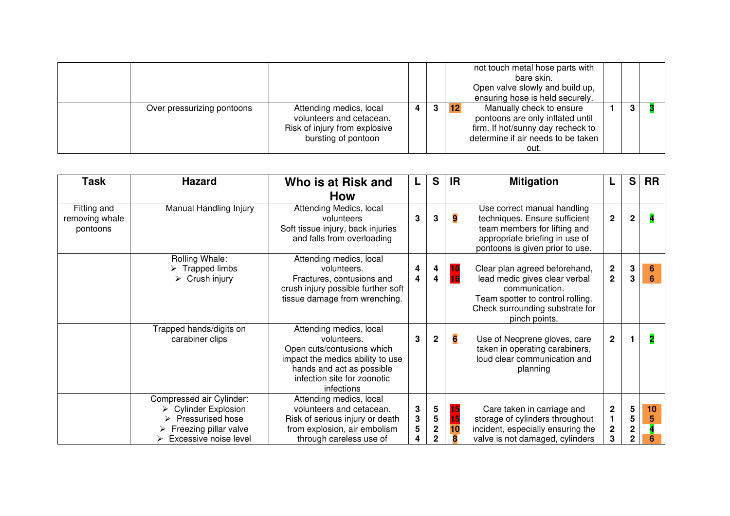|                            |                                                                                                             |   |                |    | not touch metal hose parts with<br>bare skin.<br>Open valve slowly and build up,<br>ensuring hose is held securely.                             |  |  |
|----------------------------|-------------------------------------------------------------------------------------------------------------|---|----------------|----|-------------------------------------------------------------------------------------------------------------------------------------------------|--|--|
| Over pressurizing pontoons | Attending medics, local<br>volunteers and cetacean.<br>Risk of injury from explosive<br>bursting of pontoon | 4 | 3 <sup>1</sup> | 12 | Manually check to ensure<br>pontoons are only inflated until<br>firm. If hot/sunny day recheck to<br>determine if air needs to be taken<br>out. |  |  |

| <b>Task</b>                               | <b>Hazard</b>                                                                                                                                            | Who is at Risk and                                                                                                                                                                 |                  | S                                     | IR.      | <b>Mitigation</b>                                                                                                                                                        |                                      | S                             | <b>RR</b>               |
|-------------------------------------------|----------------------------------------------------------------------------------------------------------------------------------------------------------|------------------------------------------------------------------------------------------------------------------------------------------------------------------------------------|------------------|---------------------------------------|----------|--------------------------------------------------------------------------------------------------------------------------------------------------------------------------|--------------------------------------|-------------------------------|-------------------------|
|                                           |                                                                                                                                                          | <b>How</b>                                                                                                                                                                         |                  |                                       |          |                                                                                                                                                                          |                                      |                               |                         |
| Fitting and<br>removing whale<br>pontoons | Manual Handling Injury                                                                                                                                   | Attending Medics, local<br>volunteers<br>Soft tissue injury, back injuries<br>and falls from overloading                                                                           | 3                | 3                                     | 9        | Use correct manual handling<br>techniques. Ensure sufficient<br>team members for lifting and<br>appropriate briefing in use of<br>pontoons is given prior to use.        | $\mathbf{2}$                         | $\mathbf{2}$                  |                         |
|                                           | Rolling Whale:<br>$\triangleright$ Trapped limbs<br>$\triangleright$ Crush injury                                                                        | Attending medics, local<br>volunteers.<br>Fractures, contusions and<br>crush injury possible further soft<br>tissue damage from wrenching.                                         | 4<br>4           | 4<br>4                                | 16<br>16 | Clear plan agreed beforehand,<br>lead medic gives clear verbal<br>communication.<br>Team spotter to control rolling.<br>Check surrounding substrate for<br>pinch points. | $\boldsymbol{2}$<br>$\overline{2}$   | $\mathbf 3$<br>3              | 6<br>$6\phantom{1}$     |
|                                           | Trapped hands/digits on<br>carabiner clips                                                                                                               | Attending medics, local<br>volunteers.<br>Open cuts/contusions which<br>impact the medics ability to use<br>hands and act as possible<br>infection site for zoonotic<br>infections | 3                | $\mathbf 2$                           | 6        | Use of Neoprene gloves, care<br>taken in operating carabiners,<br>loud clear communication and<br>planning                                                               | $\overline{2}$                       |                               | $\overline{\mathbf{2}}$ |
|                                           | Compressed air Cylinder:<br>$\triangleright$ Cylinder Explosion<br>> Pressurised hose<br>$\triangleright$ Freezing pillar valve<br>Excessive noise level | Attending medics, local<br>volunteers and cetacean.<br>Risk of serious injury or death<br>from explosion, air embolism<br>through careless use of                                  | 3<br>3<br>5<br>4 | 5<br>5<br>$\mathbf 2$<br>$\mathbf{2}$ | 15<br>10 | Care taken in carriage and<br>storage of cylinders throughout<br>incident, especially ensuring the<br>valve is not damaged, cylinders                                    | $\mathbf 2$<br>1<br>$\mathbf 2$<br>3 | 5<br>5<br>$\overline{2}$<br>2 | 10<br>5                 |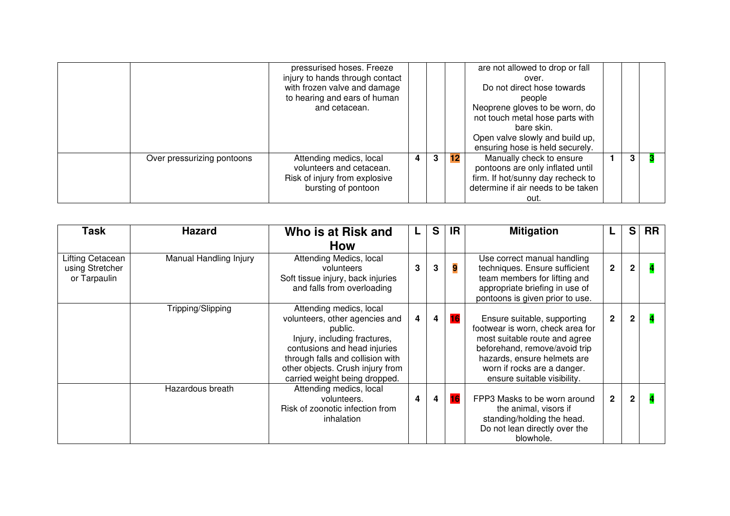|                            | pressurised hoses. Freeze       |   |              |    | are not allowed to drop or fall    |  |  |
|----------------------------|---------------------------------|---|--------------|----|------------------------------------|--|--|
|                            | injury to hands through contact |   |              |    | over.                              |  |  |
|                            | with frozen valve and damage    |   |              |    | Do not direct hose towards         |  |  |
|                            | to hearing and ears of human    |   |              |    | people                             |  |  |
|                            | and cetacean.                   |   |              |    | Neoprene gloves to be worn, do     |  |  |
|                            |                                 |   |              |    | not touch metal hose parts with    |  |  |
|                            |                                 |   |              |    | bare skin.                         |  |  |
|                            |                                 |   |              |    | Open valve slowly and build up,    |  |  |
|                            |                                 |   |              |    | ensuring hose is held securely.    |  |  |
| Over pressurizing pontoons | Attending medics, local         | 4 | $\mathbf{3}$ | 12 | Manually check to ensure           |  |  |
|                            | volunteers and cetacean.        |   |              |    | pontoons are only inflated until   |  |  |
|                            | Risk of injury from explosive   |   |              |    | firm. If hot/sunny day recheck to  |  |  |
|                            | bursting of pontoon             |   |              |    | determine if air needs to be taken |  |  |
|                            |                                 |   |              |    | out.                               |  |  |

| Task                                                | <b>Hazard</b>          | Who is at Risk and                                                                                                                                                                                                                            | L | S | IR.       | <b>Mitigation</b>                                                                                                                                                                                                              |                | S.           | <b>RR</b> |
|-----------------------------------------------------|------------------------|-----------------------------------------------------------------------------------------------------------------------------------------------------------------------------------------------------------------------------------------------|---|---|-----------|--------------------------------------------------------------------------------------------------------------------------------------------------------------------------------------------------------------------------------|----------------|--------------|-----------|
|                                                     |                        | <b>How</b>                                                                                                                                                                                                                                    |   |   |           |                                                                                                                                                                                                                                |                |              |           |
| Lifting Cetacean<br>using Stretcher<br>or Tarpaulin | Manual Handling Injury | Attending Medics, local<br>volunteers<br>Soft tissue injury, back injuries<br>and falls from overloading                                                                                                                                      | 3 | 3 | 9         | Use correct manual handling<br>techniques. Ensure sufficient<br>team members for lifting and<br>appropriate briefing in use of<br>pontoons is given prior to use.                                                              | $\mathbf{2}$   | $\mathbf{2}$ |           |
|                                                     | Tripping/Slipping      | Attending medics, local<br>volunteers, other agencies and<br>public.<br>Injury, including fractures,<br>contusions and head injuries<br>through falls and collision with<br>other objects. Crush injury from<br>carried weight being dropped. | 4 | 4 | 16        | Ensure suitable, supporting<br>footwear is worn, check area for<br>most suitable route and agree<br>beforehand, remove/avoid trip<br>hazards, ensure helmets are<br>worn if rocks are a danger.<br>ensure suitable visibility. | $\overline{2}$ | $\mathbf{2}$ |           |
|                                                     | Hazardous breath       | Attending medics, local<br>volunteers.<br>Risk of zoonotic infection from<br>inhalation                                                                                                                                                       | 4 | 4 | <b>16</b> | FPP3 Masks to be worn around<br>the animal, visors if<br>standing/holding the head.<br>Do not lean directly over the<br>blowhole.                                                                                              | $\mathbf 2$    | $\mathbf{2}$ |           |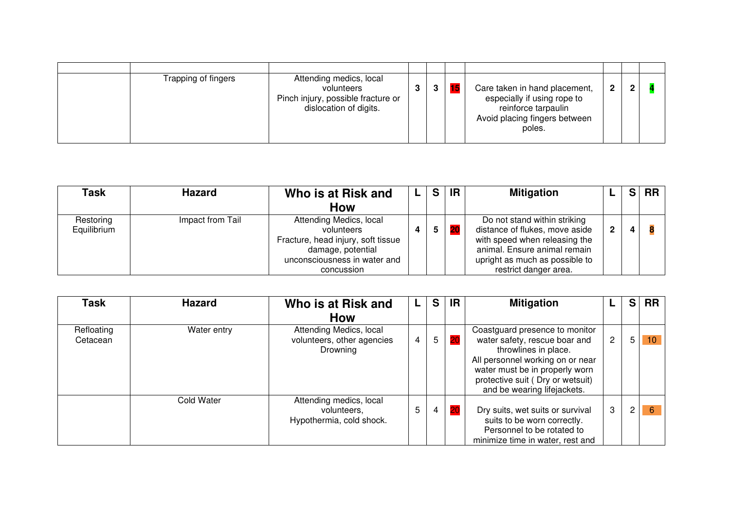| Trapping of fingers | Attending medics, local<br>volunteers<br>Pinch injury, possible fracture or<br>dislocation of digits. | З |  | Care taken in hand placement,<br>especially if using rope to<br>reinforce tarpaulin<br>Avoid placing fingers between<br>poles. | פ |  |
|---------------------|-------------------------------------------------------------------------------------------------------|---|--|--------------------------------------------------------------------------------------------------------------------------------|---|--|

| Task                     | <b>Hazard</b>    | Who is at Risk and                                                                                                                             | S | <b>IR</b> | <b>Mitigation</b>                                                                                                                                                                          |   | e. | <b>RR</b> |
|--------------------------|------------------|------------------------------------------------------------------------------------------------------------------------------------------------|---|-----------|--------------------------------------------------------------------------------------------------------------------------------------------------------------------------------------------|---|----|-----------|
|                          |                  | <b>How</b>                                                                                                                                     |   |           |                                                                                                                                                                                            |   |    |           |
| Restoring<br>Equilibrium | Impact from Tail | Attending Medics, local<br>volunteers<br>Fracture, head injury, soft tissue<br>damage, potential<br>unconsciousness in water and<br>concussion | 5 |           | Do not stand within striking<br>distance of flukes, move aside<br>with speed when releasing the<br>animal. Ensure animal remain<br>upright as much as possible to<br>restrict danger area. | 2 | 4  |           |

| Task                   | <b>Hazard</b> | Who is at Risk and                                                 |   | S | ΙR | <b>Mitigation</b>                                                                                                                                                                                                                |                | S. | <b>RR</b> |
|------------------------|---------------|--------------------------------------------------------------------|---|---|----|----------------------------------------------------------------------------------------------------------------------------------------------------------------------------------------------------------------------------------|----------------|----|-----------|
|                        |               | <b>How</b>                                                         |   |   |    |                                                                                                                                                                                                                                  |                |    |           |
| Refloating<br>Cetacean | Water entry   | Attending Medics, local<br>volunteers, other agencies<br>Drowning  | 4 | 5 | 20 | Coastguard presence to monitor<br>water safety, rescue boar and<br>throwlines in place.<br>All personnel working on or near<br>water must be in properly worn<br>protective suit (Dry or wetsuit)<br>and be wearing lifejackets. | $\overline{c}$ | 5  | 10        |
|                        | Cold Water    | Attending medics, local<br>volunteers,<br>Hypothermia, cold shock. | 5 | 4 | 20 | Dry suits, wet suits or survival<br>suits to be worn correctly.<br>Personnel to be rotated to<br>minimize time in water, rest and                                                                                                | 3              | 2  | 6         |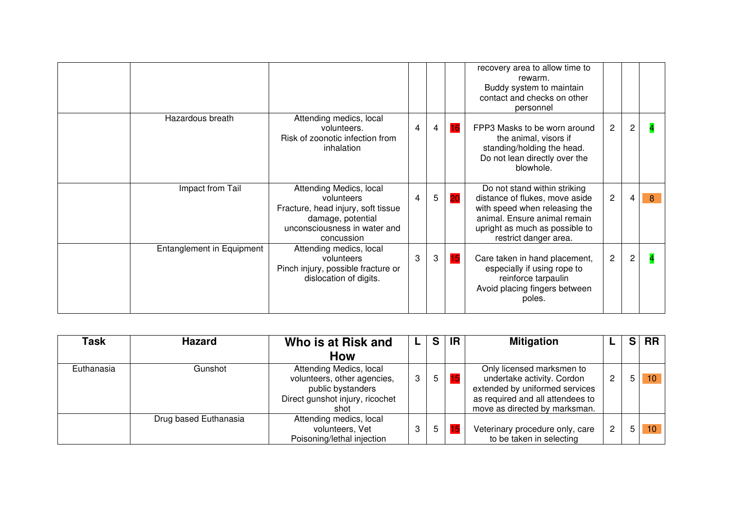|                                  |                                                                                                                                                |   |   |    | recovery area to allow time to<br>rewarm.<br>Buddy system to maintain<br>contact and checks on other<br>personnel                                                                          |                |                |   |
|----------------------------------|------------------------------------------------------------------------------------------------------------------------------------------------|---|---|----|--------------------------------------------------------------------------------------------------------------------------------------------------------------------------------------------|----------------|----------------|---|
| Hazardous breath                 | Attending medics, local<br>volunteers.<br>Risk of zoonotic infection from<br>inhalation                                                        | 4 | 4 | 16 | FPP3 Masks to be worn around<br>the animal, visors if<br>standing/holding the head.<br>Do not lean directly over the<br>blowhole.                                                          | $\overline{c}$ | $\overline{c}$ |   |
| Impact from Tail                 | Attending Medics, local<br>volunteers<br>Fracture, head injury, soft tissue<br>damage, potential<br>unconsciousness in water and<br>concussion | 4 | 5 | 20 | Do not stand within striking<br>distance of flukes, move aside<br>with speed when releasing the<br>animal. Ensure animal remain<br>upright as much as possible to<br>restrict danger area. | $\overline{c}$ | 4              | 8 |
| <b>Entanglement in Equipment</b> | Attending medics, local<br>volunteers<br>Pinch injury, possible fracture or<br>dislocation of digits.                                          | 3 | 3 | 15 | Care taken in hand placement,<br>especially if using rope to<br>reinforce tarpaulin<br>Avoid placing fingers between<br>poles.                                                             | $\overline{c}$ | 2              |   |

| Task       | <b>Hazard</b>         | Who is at Risk and                                                                                                     |   | S. | <b>IR</b> | <b>Mitigation</b>                                                                                                                                              |                |   | S RR |
|------------|-----------------------|------------------------------------------------------------------------------------------------------------------------|---|----|-----------|----------------------------------------------------------------------------------------------------------------------------------------------------------------|----------------|---|------|
|            |                       | <b>How</b>                                                                                                             |   |    |           |                                                                                                                                                                |                |   |      |
| Euthanasia | Gunshot               | Attending Medics, local<br>volunteers, other agencies,<br>public bystanders<br>Direct gunshot injury, ricochet<br>shot | 3 | 5  |           | Only licensed marksmen to<br>undertake activity. Cordon<br>extended by uniformed services<br>as required and all attendees to<br>move as directed by marksman. | $\overline{2}$ | 5 | -10  |
|            | Drug based Euthanasia | Attending medics, local<br>volunteers, Vet<br>Poisoning/lethal injection                                               | 3 | 5  | 15        | Veterinary procedure only, care<br>to be taken in selecting                                                                                                    | $\overline{2}$ | 5 | 10   |